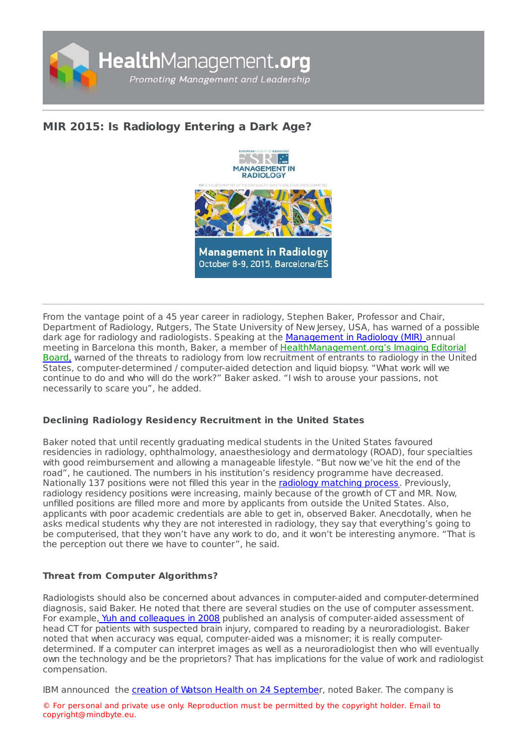

# **MIR 2015: Is [Radiology](https://healthmanagement.org/s/mir-2015-is-radiology-entering-a-dark-age) Entering a Dark Age?**



From the vantage point of a 45 year career in radiology, Stephen Baker, Professor and Chair, Department of Radiology, Rutgers, The State University of New Jersey, USA, has warned of a possible dark age for radiology and radiologists. Speaking at the [Management](https://iii.hm/10g) in Radiology (MIR) annual meeting in Barcelona this month, Baker, a member of [HealthManagement.org's](https://iii.hm/10h) Imaging Editorial Board, warned of the threats to radiology from low recruitment of entrants to radiology in the United States, computer-determined / computer-aided detection and liquid biopsy. "What work will we continue to do and who will do the work?" Baker asked. "I wish to arouse your passions, not necessarily to scare you", he added.

## **Declining Radiology Residency Recruitment in the United States**

Baker noted that until recently graduating medical students in the United States favoured residencies in radiology, ophthalmology, anaesthesiology and dermatology (ROAD), four specialties with good reimbursement and allowing a manageable lifestyle. "But now we've hit the end of the road", he cautioned. The numbers in his institution's residency programme have decreased. Nationally 137 positions were not filled this year in the radiology [matching](https://iii.hm/109) process. Previously, radiology residency positions were increasing, mainly because of the growth of CT and MR. Now, unfilled positions are filled more and more by applicants from outside the United States. Also, applicants with poor academic credentials are able to get in, observed Baker. Anecdotally, when he asks medical students why they are not interested in radiology, they say that everything's going to be computerised, that they won't have any work to do, and it won't be interesting anymore. "That is the perception out there we have to counter", he said.

## **Threat from Computer Algorithms?**

Radiologists should also be concerned about advances in computer-aided and computer-determined diagnosis, said Baker. He noted that there are several studies on the use of computer assessment. For example, Yuh and [colleagues](https://iii.hm/10a) in 2008 published an analysis of computer-aided assessment of head CT for patients with suspected brain injury, compared to reading by a neuroradiologist. Baker noted that when accuracy was equal, computer-aided was a misnomer; it is really computerdetermined. If a computer can interpret images as well as a neuroradiologist then who will eventually own the technology and be the proprietors? That has implications for the value of work and radiologist compensation.

IBM announced the creation of Watson Health on 24 [Septembe](https://iii.hm/10b)r, noted Baker. The company is

© For personal and private use only. Reproduction must be permitted by the copyright holder. Email to copyright@mindbyte.eu.